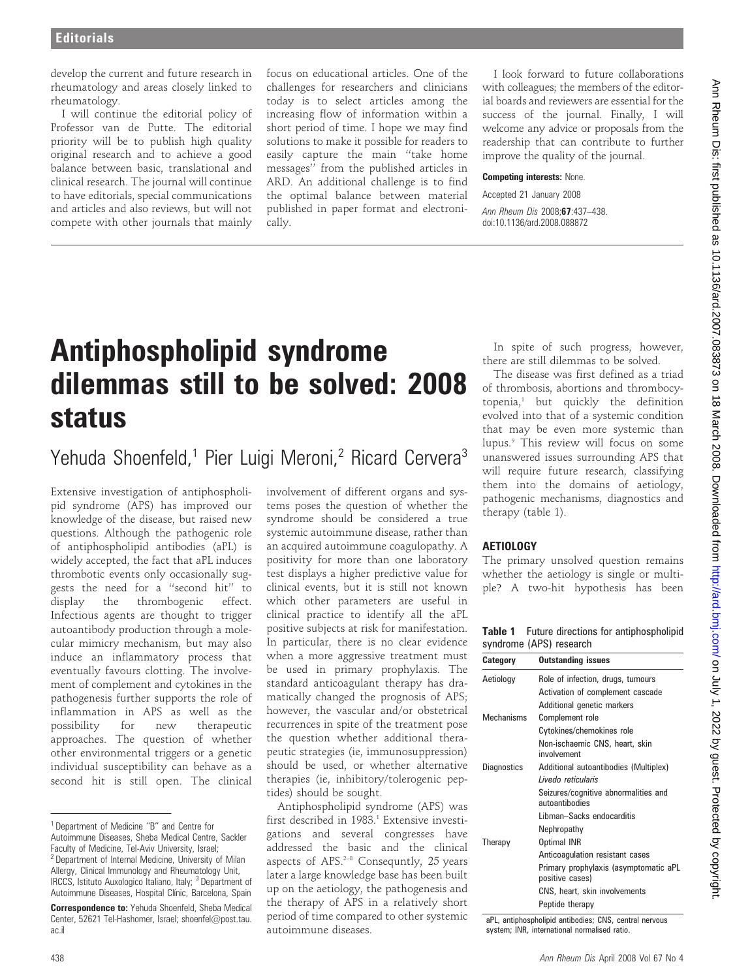develop the current and future research in rheumatology and areas closely linked to rheumatology.

I will continue the editorial policy of Professor van de Putte. The editorial priority will be to publish high quality original research and to achieve a good balance between basic, translational and clinical research. The journal will continue to have editorials, special communications and articles and also reviews, but will not compete with other journals that mainly

focus on educational articles. One of the challenges for researchers and clinicians today is to select articles among the increasing flow of information within a short period of time. I hope we may find solutions to make it possible for readers to easily capture the main ''take home messages'' from the published articles in ARD. An additional challenge is to find the optimal balance between material published in paper format and electronically.

I look forward to future collaborations with colleagues; the members of the editorial boards and reviewers are essential for the success of the journal. Finally, I will welcome any advice or proposals from the readership that can contribute to further improve the quality of the journal.

#### Competing interests: None.

Accepted 21 January 2008

Ann Rheum Dis 2008;67:437–438. doi:10.1136/ard.2008.088872

# Antiphospholipid syndrome dilemmas still to be solved: 2008 status

Yehuda Shoenfeld,<sup>1</sup> Pier Luigi Meroni,<sup>2</sup> Ricard Cervera<sup>3</sup>

Extensive investigation of antiphospholipid syndrome (APS) has improved our knowledge of the disease, but raised new questions. Although the pathogenic role of antiphospholipid antibodies (aPL) is widely accepted, the fact that aPL induces thrombotic events only occasionally suggests the need for a ''second hit'' to display the thrombogenic effect. Infectious agents are thought to trigger autoantibody production through a molecular mimicry mechanism, but may also induce an inflammatory process that eventually favours clotting. The involvement of complement and cytokines in the pathogenesis further supports the role of inflammation in APS as well as the possibility for new therapeutic approaches. The question of whether other environmental triggers or a genetic individual susceptibility can behave as a second hit is still open. The clinical

involvement of different organs and systems poses the question of whether the syndrome should be considered a true systemic autoimmune disease, rather than an acquired autoimmune coagulopathy. A positivity for more than one laboratory test displays a higher predictive value for clinical events, but it is still not known which other parameters are useful in clinical practice to identify all the aPL positive subjects at risk for manifestation. In particular, there is no clear evidence when a more aggressive treatment must be used in primary prophylaxis. The standard anticoagulant therapy has dramatically changed the prognosis of APS; however, the vascular and/or obstetrical recurrences in spite of the treatment pose the question whether additional therapeutic strategies (ie, immunosuppression) should be used, or whether alternative therapies (ie, inhibitory/tolerogenic peptides) should be sought.

Antiphospholipid syndrome (APS) was first described in 1983.<sup>1</sup> Extensive investigations and several congresses have addressed the basic and the clinical aspects of APS.<sup>2-8</sup> Consequntly, 25 years later a large knowledge base has been built up on the aetiology, the pathogenesis and the therapy of APS in a relatively short period of time compared to other systemic autoimmune diseases.

In spite of such progress, however, there are still dilemmas to be solved.

The disease was first defined as a triad of thrombosis, abortions and thrombocytopenia,<sup>1</sup> but quickly the definition evolved into that of a systemic condition that may be even more systemic than lupus.9 This review will focus on some unanswered issues surrounding APS that will require future research, classifying them into the domains of aetiology, pathogenic mechanisms, diagnostics and therapy (table 1).

#### AETIOLOGY

The primary unsolved question remains whether the aetiology is single or multiple? A two-hit hypothesis has been

#### Table 1 Future directions for antiphospholipid syndrome (APS) research

| Category          | <b>Outstanding issues</b>                                |
|-------------------|----------------------------------------------------------|
| Aetiology         | Role of infection, drugs, tumours                        |
|                   | Activation of complement cascade                         |
|                   | Additional genetic markers                               |
| <b>Mechanisms</b> | Complement role                                          |
|                   | Cytokines/chemokines role                                |
|                   | Non-ischaemic CNS, heart, skin<br>involvement            |
| Diagnostics       | Additional autoantibodies (Multiplex)                    |
|                   | Livedo reticularis                                       |
|                   | Seizures/cognitive abnormalities and<br>autoantibodies   |
|                   | Libman-Sacks endocarditis                                |
|                   | Nephropathy                                              |
| Therapy           | Optimal INR                                              |
|                   | Anticoagulation resistant cases                          |
|                   | Primary prophylaxis (asymptomatic aPL<br>positive cases) |
|                   | CNS, heart, skin involvements                            |
|                   | Peptide therapy                                          |

aPL, antiphospholipid antibodies; CNS, central nervous system; INR, international normalised ratio.

<sup>1</sup> Department of Medicine ''B'' and Centre for Autoimmune Diseases, Sheba Medical Centre, Sackler Faculty of Medicine, Tel-Aviv University, Israel; <sup>2</sup> Department of Internal Medicine, University of Milan Allergy, Clinical Immunology and Rheumatology Unit, IRCCS, Istituto Auxologico Italiano, Italy; <sup>3</sup> Department of Autoimmune Diseases, Hospital Clínic, Barcelona, Spain

Correspondence to: Yehuda Shoenfeld, Sheba Medical Center, 52621 Tel-Hashomer, Israel; shoenfel@post.tau. ac.il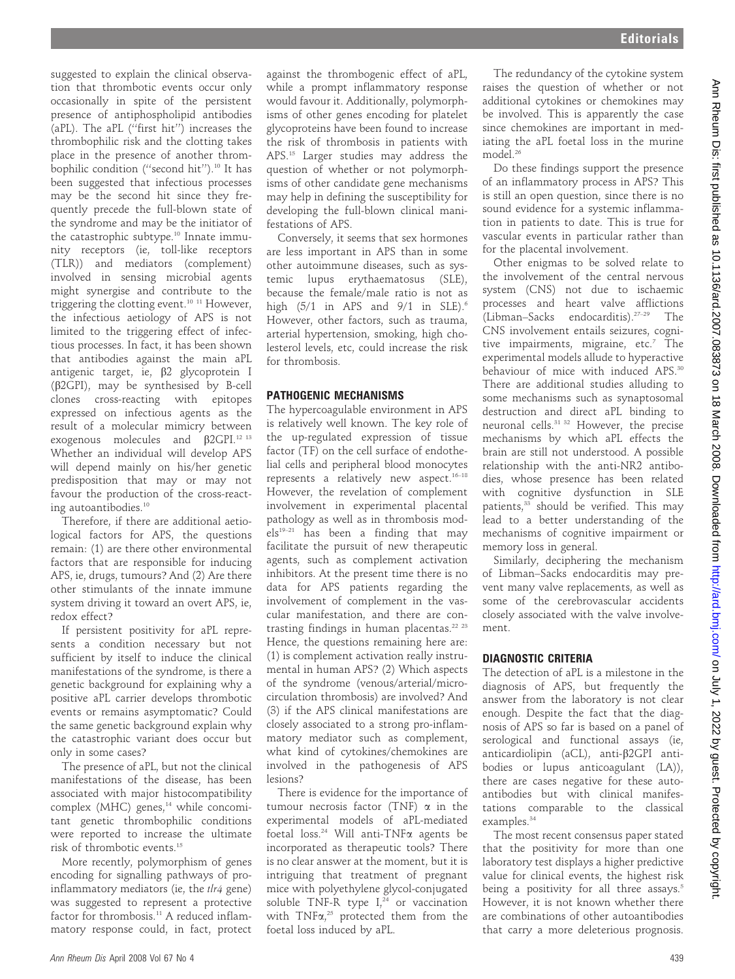suggested to explain the clinical observation that thrombotic events occur only occasionally in spite of the persistent presence of antiphospholipid antibodies (aPL). The aPL (''first hit'') increases the thrombophilic risk and the clotting takes place in the presence of another thrombophilic condition ("second hit").<sup>10</sup> It has been suggested that infectious processes may be the second hit since they frequently precede the full-blown state of the syndrome and may be the initiator of the catastrophic subtype.<sup>10</sup> Innate immunity receptors (ie, toll-like receptors (TLR)) and mediators (complement) involved in sensing microbial agents might synergise and contribute to the triggering the clotting event.<sup>10 11</sup> However, the infectious aetiology of APS is not limited to the triggering effect of infectious processes. In fact, it has been shown that antibodies against the main aPL antigenic target, ie,  $\beta$ 2 glycoprotein I (b2GPI), may be synthesised by B-cell clones cross-reacting with epitopes expressed on infectious agents as the result of a molecular mimicry between exogenous molecules and  $\beta$ 2GPI.<sup>12 13</sup> Whether an individual will develop APS will depend mainly on his/her genetic predisposition that may or may not favour the production of the cross-reacting autoantibodies.<sup>10</sup>

Therefore, if there are additional aetiological factors for APS, the questions remain: (1) are there other environmental factors that are responsible for inducing APS, ie, drugs, tumours? And (2) Are there other stimulants of the innate immune system driving it toward an overt APS, ie, redox effect?

If persistent positivity for aPL represents a condition necessary but not sufficient by itself to induce the clinical manifestations of the syndrome, is there a genetic background for explaining why a positive aPL carrier develops thrombotic events or remains asymptomatic? Could the same genetic background explain why the catastrophic variant does occur but only in some cases?

The presence of aPL, but not the clinical manifestations of the disease, has been associated with major histocompatibility complex (MHC) genes,<sup>14</sup> while concomitant genetic thrombophilic conditions were reported to increase the ultimate risk of thrombotic events.15

More recently, polymorphism of genes encoding for signalling pathways of proinflammatory mediators (ie, the tlr4 gene) was suggested to represent a protective factor for thrombosis.<sup>11</sup> A reduced inflammatory response could, in fact, protect

against the thrombogenic effect of aPL, while a prompt inflammatory response would favour it. Additionally, polymorphisms of other genes encoding for platelet glycoproteins have been found to increase the risk of thrombosis in patients with APS.15 Larger studies may address the question of whether or not polymorphisms of other candidate gene mechanisms may help in defining the susceptibility for developing the full-blown clinical manifestations of APS.

Conversely, it seems that sex hormones are less important in APS than in some other autoimmune diseases, such as systemic lupus erythaematosus (SLE), because the female/male ratio is not as high  $(5/1$  in APS and  $9/1$  in SLE).<sup>6</sup> However, other factors, such as trauma, arterial hypertension, smoking, high cholesterol levels, etc, could increase the risk for thrombosis.

## PATHOGENIC MECHANISMS

The hypercoagulable environment in APS is relatively well known. The key role of the up-regulated expression of tissue factor (TF) on the cell surface of endothelial cells and peripheral blood monocytes represents a relatively new aspect.<sup>16-18</sup> However, the revelation of complement involvement in experimental placental pathology as well as in thrombosis mod $els^{19-21}$  has been a finding that may facilitate the pursuit of new therapeutic agents, such as complement activation inhibitors. At the present time there is no data for APS patients regarding the involvement of complement in the vascular manifestation, and there are contrasting findings in human placentas. $2223$ Hence, the questions remaining here are: (1) is complement activation really instrumental in human APS? (2) Which aspects of the syndrome (venous/arterial/microcirculation thrombosis) are involved? And (3) if the APS clinical manifestations are closely associated to a strong pro-inflammatory mediator such as complement, what kind of cytokines/chemokines are involved in the pathogenesis of APS lesions?

There is evidence for the importance of tumour necrosis factor (TNF)  $\alpha$  in the experimental models of aPL-mediated foetal loss.24 Will anti-TNFa agents be incorporated as therapeutic tools? There is no clear answer at the moment, but it is intriguing that treatment of pregnant mice with polyethylene glycol-conjugated soluble TNF-R type  $I,^{24}$  or vaccination with  $TNF\alpha$ <sup>25</sup> protected them from the foetal loss induced by aPL.

The redundancy of the cytokine system raises the question of whether or not additional cytokines or chemokines may be involved. This is apparently the case since chemokines are important in mediating the aPL foetal loss in the murine model<sup>26</sup>

Do these findings support the presence of an inflammatory process in APS? This is still an open question, since there is no sound evidence for a systemic inflammation in patients to date. This is true for vascular events in particular rather than for the placental involvement.

Other enigmas to be solved relate to the involvement of the central nervous system (CNS) not due to ischaemic processes and heart valve afflictions (Libman–Sacks endocarditis).27–29 The CNS involvement entails seizures, cognitive impairments, migraine, etc.<sup>7</sup> The experimental models allude to hyperactive behaviour of mice with induced APS.<sup>30</sup> There are additional studies alluding to some mechanisms such as synaptosomal destruction and direct aPL binding to neuronal cells.31 32 However, the precise mechanisms by which aPL effects the brain are still not understood. A possible relationship with the anti-NR2 antibodies, whose presence has been related with cognitive dysfunction in SLE patients,<sup>33</sup> should be verified. This may lead to a better understanding of the mechanisms of cognitive impairment or memory loss in general.

Similarly, deciphering the mechanism of Libman–Sacks endocarditis may prevent many valve replacements, as well as some of the cerebrovascular accidents closely associated with the valve involvement.

# DIAGNOSTIC CRITERIA

The detection of aPL is a milestone in the diagnosis of APS, but frequently the answer from the laboratory is not clear enough. Despite the fact that the diagnosis of APS so far is based on a panel of serological and functional assays (ie, anticardiolipin (aCL), anti- $\beta$ 2GPI antibodies or lupus anticoagulant (LA)), there are cases negative for these autoantibodies but with clinical manifestations comparable to the classical examples.<sup>34</sup>

The most recent consensus paper stated that the positivity for more than one laboratory test displays a higher predictive value for clinical events, the highest risk being a positivity for all three assays.<sup>5</sup> However, it is not known whether there are combinations of other autoantibodies that carry a more deleterious prognosis.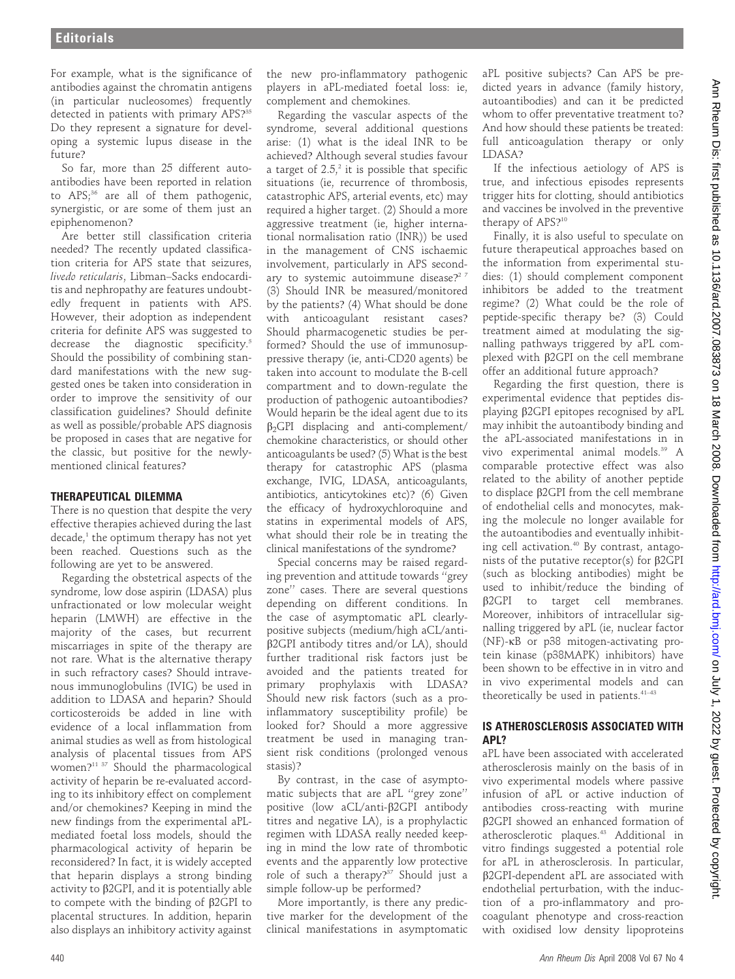For example, what is the significance of antibodies against the chromatin antigens (in particular nucleosomes) frequently detected in patients with primary APS?<sup>35</sup> Do they represent a signature for developing a systemic lupus disease in the future?

So far, more than 25 different autoantibodies have been reported in relation to APS;<sup>36</sup> are all of them pathogenic, synergistic, or are some of them just an epiphenomenon?

Are better still classification criteria needed? The recently updated classification criteria for APS state that seizures, livedo reticularis, Libman–Sacks endocarditis and nephropathy are features undoubtedly frequent in patients with APS. However, their adoption as independent criteria for definite APS was suggested to decrease the diagnostic specificity.<sup>5</sup> Should the possibility of combining standard manifestations with the new suggested ones be taken into consideration in order to improve the sensitivity of our classification guidelines? Should definite as well as possible/probable APS diagnosis be proposed in cases that are negative for the classic, but positive for the newlymentioned clinical features?

# THERAPEUTICAL DILEMMA

There is no question that despite the very effective therapies achieved during the last  $decade<sub>i</sub>$ <sup>1</sup> the optimum therapy has not yet been reached. Questions such as the following are yet to be answered.

Regarding the obstetrical aspects of the syndrome, low dose aspirin (LDASA) plus unfractionated or low molecular weight heparin (LMWH) are effective in the majority of the cases, but recurrent miscarriages in spite of the therapy are not rare. What is the alternative therapy in such refractory cases? Should intravenous immunoglobulins (IVIG) be used in addition to LDASA and heparin? Should corticosteroids be added in line with evidence of a local inflammation from animal studies as well as from histological analysis of placental tissues from APS women?<sup>11 37</sup> Should the pharmacological activity of heparin be re-evaluated according to its inhibitory effect on complement and/or chemokines? Keeping in mind the new findings from the experimental aPLmediated foetal loss models, should the pharmacological activity of heparin be reconsidered? In fact, it is widely accepted that heparin displays a strong binding activity to  $\beta$ 2GPI, and it is potentially able to compete with the binding of  $\beta$ 2GPI to placental structures. In addition, heparin also displays an inhibitory activity against

the new pro-inflammatory pathogenic players in aPL-mediated foetal loss: ie, complement and chemokines.

Regarding the vascular aspects of the syndrome, several additional questions arise: (1) what is the ideal INR to be achieved? Although several studies favour a target of  $2.5<sup>2</sup>$  it is possible that specific situations (ie, recurrence of thrombosis, catastrophic APS, arterial events, etc) may required a higher target. (2) Should a more aggressive treatment (ie, higher international normalisation ratio (INR)) be used in the management of CNS ischaemic involvement, particularly in APS secondary to systemic autoimmune disease?<sup>27</sup> (3) Should INR be measured/monitored by the patients? (4) What should be done with anticoagulant resistant cases? Should pharmacogenetic studies be performed? Should the use of immunosuppressive therapy (ie, anti-CD20 agents) be taken into account to modulate the B-cell compartment and to down-regulate the production of pathogenic autoantibodies? Would heparin be the ideal agent due to its  $\beta_2$ GPI displacing and anti-complement/ chemokine characteristics, or should other anticoagulants be used? (5) What is the best therapy for catastrophic APS (plasma exchange, IVIG, LDASA, anticoagulants, antibiotics, anticytokines etc)? (6) Given the efficacy of hydroxychloroquine and statins in experimental models of APS, what should their role be in treating the clinical manifestations of the syndrome?

Special concerns may be raised regarding prevention and attitude towards ''grey zone'' cases. There are several questions depending on different conditions. In the case of asymptomatic aPL clearlypositive subjects (medium/high aCL/antib2GPI antibody titres and/or LA), should further traditional risk factors just be avoided and the patients treated for primary prophylaxis with LDASA? Should new risk factors (such as a proinflammatory susceptibility profile) be looked for? Should a more aggressive treatment be used in managing transient risk conditions (prolonged venous stasis)?

By contrast, in the case of asymptomatic subjects that are aPL ''grey zone'' positive (low aCL/anti- $\beta$ 2GPI antibody titres and negative LA), is a prophylactic regimen with LDASA really needed keeping in mind the low rate of thrombotic events and the apparently low protective role of such a therapy?<sup>37</sup> Should just a simple follow-up be performed?

More importantly, is there any predictive marker for the development of the clinical manifestations in asymptomatic

aPL positive subjects? Can APS be predicted years in advance (family history, autoantibodies) and can it be predicted whom to offer preventative treatment to? And how should these patients be treated: full anticoagulation therapy or only LDASA?

If the infectious aetiology of APS is true, and infectious episodes represents trigger hits for clotting, should antibiotics and vaccines be involved in the preventive therapy of APS?<sup>10</sup>

Finally, it is also useful to speculate on future therapeutical approaches based on the information from experimental studies: (1) should complement component inhibitors be added to the treatment regime? (2) What could be the role of peptide-specific therapy be? (3) Could treatment aimed at modulating the signalling pathways triggered by aPL complexed with b2GPI on the cell membrane offer an additional future approach?

Regarding the first question, there is experimental evidence that peptides displaying b2GPI epitopes recognised by aPL may inhibit the autoantibody binding and the aPL-associated manifestations in in vivo experimental animal models.39 A comparable protective effect was also related to the ability of another peptide to displace b2GPI from the cell membrane of endothelial cells and monocytes, making the molecule no longer available for the autoantibodies and eventually inhibiting cell activation.40 By contrast, antagonists of the putative receptor(s) for  $\beta$ 2GPI (such as blocking antibodies) might be used to inhibit/reduce the binding of  $\beta$ 2GPI to target cell membranes. Moreover, inhibitors of intracellular signalling triggered by aPL (ie, nuclear factor (NF)-kB or p38 mitogen-activating protein kinase (p38MAPK) inhibitors) have been shown to be effective in in vitro and in vivo experimental models and can theoretically be used in patients.<sup>41-43</sup>

### IS ATHEROSCLEROSIS ASSOCIATED WITH APL?

aPL have been associated with accelerated atherosclerosis mainly on the basis of in vivo experimental models where passive infusion of aPL or active induction of antibodies cross-reacting with murine β2GPI showed an enhanced formation of atherosclerotic plaques.43 Additional in vitro findings suggested a potential role for aPL in atherosclerosis. In particular, b2GPI-dependent aPL are associated with endothelial perturbation, with the induction of a pro-inflammatory and procoagulant phenotype and cross-reaction with oxidised low density lipoproteins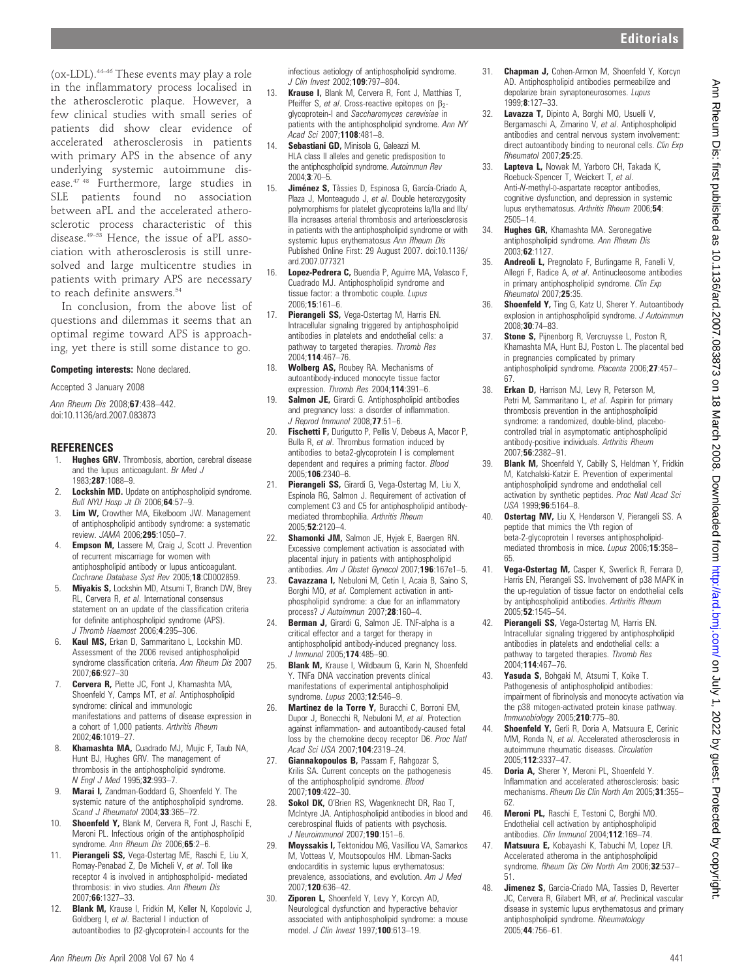(ox-LDL).44–46 These events may play a role in the inflammatory process localised in the atherosclerotic plaque. However, a few clinical studies with small series of patients did show clear evidence of accelerated atherosclerosis in patients with primary APS in the absence of any underlying systemic autoimmune disease.47 48 Furthermore, large studies in SLE patients found no association between aPL and the accelerated atherosclerotic process characteristic of this disease.49–53 Hence, the issue of aPL association with atherosclerosis is still unresolved and large multicentre studies in patients with primary APS are necessary to reach definite answers.<sup>54</sup>

In conclusion, from the above list of questions and dilemmas it seems that an optimal regime toward APS is approaching, yet there is still some distance to go.

Competing interests: None declared.

Accepted 3 January 2008

Ann Rheum Dis 2008;67:438–442. doi:10.1136/ard.2007.083873

#### **REFERENCES**

- 1. **Hughes GRV.** Thrombosis, abortion, cerebral disease and the lupus anticoagulant. Br Med J 1983;287:1088–9.
- 2. Lockshin MD. Update on antiphospholipid syndrome. Bull NYU Hosp Jt Di 2006;64:57–9.
- 3. Lim W, Crowther MA, Eikelboom JW. Management of antiphospholipid antibody syndrome: a systematic review. JAMA 2006;295:1050–7.
- 4. Empson M, Lassere M, Craig J, Scott J. Prevention of recurrent miscarriage for women with antiphospholipid antibody or lupus anticoagulant. Cochrane Database Syst Rev 2005;18:CD002859.
- 5. Mivakis S, Lockshin MD, Atsumi T, Branch DW, Brey RL, Cervera R, et al. International consensus statement on an update of the classification criteria for definite antiphospholipid syndrome (APS). J Thromb Haemost 2006;4:295–306.
- 6. Kaul MS, Erkan D, Sammaritano L, Lockshin MD. Assessment of the 2006 revised antiphospholipid syndrome classification criteria. Ann Rheum Dis 2007 2007;66:927–30
- 7. **Cervera R, Piette JC, Font J, Khamashta MA** Shoenfeld Y, Camps MT, et al. Antiphospholipid syndrome: clinical and immunologic manifestations and patterns of disease expression in a cohort of 1,000 patients. Arthritis Rheum 2002;46:1019–27.
- 8. Khamashta MA, Cuadrado MJ, Mujic F, Taub NA, Hunt BJ, Hughes GRV. The management of thrombosis in the antiphospholipid syndrome. N Engl J Med 1995;32:993–7.
- 9. Marai I, Zandman-Goddard G, Shoenfeld Y. The systemic nature of the antiphospholipid syndrome. Scand J Rheumatol 2004;33:365-72.
- 10. **Shoenfeld Y, Blank M, Cervera R, Font J, Raschi E,** Meroni PL. Infectious origin of the antiphospholipid syndrome. Ann Rheum Dis 2006;65:2-6.
- 11. Pierangeli SS, Vega-Ostertag ME, Raschi E, Liu X, Romay-Penabad Z, De Micheli V, et al. Toll like receptor 4 is involved in antiphospholipid- mediated thrombosis: in vivo studies. Ann Rheum Dis 2007;66:1327–33.
- 12. Blank M, Krause I, Fridkin M, Keller N, Kopolovic J, Goldberg I, et al. Bacterial I induction of autoantibodies to  $\beta$ 2-glycoprotein-I accounts for the

infectious aetiology of antiphospholipid syndrome. J Clin Invest 2002;109:797-804.

- 13. Krause I, Blank M, Cervera R, Font J, Matthias T, Pfeiffer S, et al. Cross-reactive epitopes on  $\beta_2$ glycoprotein-I and Saccharomyces cerevisiae in patients with the antiphospholipid syndrome. Ann NY Acad Sci 2007;1108:481–8.
- 14. Sebastiani GD, Minisola G, Galeazzi M. HLA class II alleles and genetic predisposition to the antiphospholipid syndrome. Autoimmun Rev 2004;3:70–5.
- 15. Jiménez S, Tàssies D, Espinosa G, García-Criado A, Plaza J, Monteagudo J, et al. Double heterozygosity polymorphisms for platelet glycoproteins la/IIa and IIb/ IIIa increases arterial thrombosis and arterioesclerosis in patients with the antiphospholipid syndrome or with systemic lupus erythematosus Ann Rheum Dis Published Online First: 29 August 2007. doi:10.1136/ ard.2007.077321
- 16. Lopez-Pedrera C, Buendia P, Aguirre MA, Velasco F, Cuadrado MJ. Antiphospholipid syndrome and tissue factor: a thrombotic couple. Lupus 2006;15:161–6.
- 17. Pierangeli SS, Vega-Ostertag M, Harris EN. Intracellular signaling triggered by antiphospholipid antibodies in platelets and endothelial cells: a pathway to targeted therapies. Thromb Res 2004;114:467–76.
- 18. Wolberg AS, Roubey RA. Mechanisms of autoantibody-induced monocyte tissue factor expression. Thromb Res 2004;114:391-6.
- 19. **Salmon JE,** Girardi G. Antiphospholipid antibodies and pregnancy loss: a disorder of inflammation. J Reprod Immunol 2008;77:51–6.
- 20. Fischetti F, Durigutto P, Pellis V, Debeus A, Macor P, Bulla R, et al. Thrombus formation induced by antibodies to beta2-glycoprotein I is complement dependent and requires a priming factor. Blood 2005;106:2340–6.
- 21. Pierangeli SS, Girardi G, Vega-Ostertag M, Liu X, Espinola RG, Salmon J. Requirement of activation of complement C3 and C5 for antiphospholipid antibodymediated thrombophilia. Arthritis Rheum 2005;52:2120–4.
- 22. Shamonki JM, Salmon JE, Hyjek E, Baergen RN. Excessive complement activation is associated with placental injury in patients with antiphospholipid antibodies. Am J Obstet Gynecol 2007;196:167e1–5.
- 23. Cavazzana I, Nebuloni M, Cetin I, Acaia B, Saino S, Borghi MO, et al. Complement activation in antiphospholipid syndrome: a clue for an inflammatory process? J Autoimmun 2007;28:160-4.
- 24. **Berman J,** Girardi G, Salmon JE. TNF-alpha is a critical effector and a target for therapy in antiphospholipid antibody-induced pregnancy loss. J Immunol 2005;174:485–90.
- 25. Blank M, Krause I, Wildbaum G, Karin N, Shoenfeld Y. TNFa DNA vaccination prevents clinical manifestations of experimental antiphospholipid syndrome. Lupus 2003;12:546–9.
- 26. Martinez de la Torre Y, Buracchi C, Borroni EM, Dupor J, Bonecchi R, Nebuloni M, et al. Protection against inflammation- and autoantibody-caused fetal loss by the chemokine decoy receptor D6. Proc Natl Acad Sci USA 2007;104:2319–24.
- 27. Giannakopoulos B, Passam F, Rahgozar S, Krilis SA. Current concepts on the pathogenesis of the antiphospholipid syndrome. Blood 2007;109:422–30.
- 28. Sokol DK, O'Brien RS, Wagenknecht DR, Rao T, McIntyre JA. Antiphospholipid antibodies in blood and cerebrospinal fluids of patients with psychosis. J Neuroimmunol 2007;190:151–6.
- Moyssakis I, Tektonidou MG, Vasilliou VA, Samarkos M, Votteas V, Moutsopoulos HM. Libman-Sacks endocarditis in systemic lupus erythematosus: prevalence, associations, and evolution. Am J Med 2007;120:636–42.
- 30. **Ziporen L,** Shoenfeld Y, Levy Y, Korcyn AD, Neurological dysfunction and hyperactive behavior associated with antiphospholipid syndrome: a mouse model. J Clin Invest 1997;100:613-19.
- 31. Chapman J, Cohen-Armon M, Shoenfeld Y, Korcyn AD. Antiphospholipid antibodies permeabilize and depolarize brain synaptoneurosomes. Lupus 1999;8:127–33.
- 32. Lavazza T, Dipinto A, Borghi MO, Usuelli V, Bergamaschi A, Zimarino V, et al. Antiphospholipid antibodies and central nervous system involvement: direct autoantibody binding to neuronal cells. Clin Exp Rheumatol 2007;25:25.
- 33. Lapteva L, Nowak M, Yarboro CH, Takada K, Roebuck-Spencer T, Weickert T, et al. Anti-N-methyl-D-aspartate receptor antibodies, cognitive dysfunction, and depression in systemic lupus erythematosus. Arthritis Rheum 2006;54: 2505–14.
- 34. Hughes GR, Khamashta MA. Seronegative antiphospholipid syndrome. Ann Rheum Dis 2003;62:1127.
- 35. **Andreoli L, Pregnolato F, Burlingame R, Fanelli V,** Allegri F, Radice A, et al. Antinucleosome antibodies in primary antiphospholipid syndrome. Clin Exp Rheumatol 2007;25:35.
- 36. Shoenfeld Y, Ting G, Katz U, Sherer Y. Autoantibody explosion in antiphospholipid syndrome. J Autoimmun 2008;30:74–83.
- 37. Stone S, Pijnenborg R, Vercruysse L, Poston R, Khamashta MA, Hunt BJ, Poston L. The placental bed in pregnancies complicated by primary antiphospholipid syndrome. Placenta 2006;27:457– 67.
- 38. **Erkan D, Harrison MJ, Levy R, Peterson M,** Petri M, Sammaritano L, et al. Aspirin for primary thrombosis prevention in the antiphospholipid syndrome: a randomized, double-blind, placebocontrolled trial in asymptomatic antiphospholipid antibody-positive individuals. Arthritis Rheum 2007;56:2382–91.
- **Blank M, Shoenfeld Y, Cabilly S, Heldman Y, Fridkin** M, Katchalski-Katzir E. Prevention of experimental antiphospholipid syndrome and endothelial cell activation by synthetic peptides. Proc Natl Acad Sci USA 1999;96:5164–8.
- **Ostertag MV, Liu X, Henderson V, Pierangeli SS. A** peptide that mimics the Vth region of beta-2-glycoprotein I reverses antiphospholipidmediated thrombosis in mice. Lupus 2006;15:358– 65.
- 41. Vega-Ostertag M, Casper K, Swerlick R, Ferrara D, Harris EN, Pierangeli SS. Involvement of p38 MAPK in the up-regulation of tissue factor on endothelial cells by antiphospholipid antibodies. Arthritis Rheum 2005;52:1545–54.
- 42. Pierangeli SS, Vega-Ostertag M, Harris EN. Intracellular signaling triggered by antiphospholipid antibodies in platelets and endothelial cells: a pathway to targeted therapies. Thromb Res 2004;114:467–76.
- 43. Yasuda S, Bohgaki M, Atsumi T, Koike T. Pathogenesis of antiphospholipid antibodies: impairment of fibrinolysis and monocyte activation via the p38 mitogen-activated protein kinase pathway. Immunobiology 2005;210:775–80.
- 44. Shoenfeld Y, Gerli R, Doria A, Matsuura E, Cerinic MM, Ronda N, et al. Accelerated atherosclerosis in autoimmune rheumatic diseases. Circulation 2005;112:3337–47.
- 45. Doria A, Sherer Y, Meroni PL, Shoenfeld Y. Inflammation and accelerated atherosclerosis: basic mechanisms. Rheum Dis Clin North Am 2005;31:355-62.
- 46. Meroni PL, Raschi E, Testoni C, Borghi MO. Endothelial cell activation by antiphospholipid antibodies. Clin Immunol 2004;112:169–74.
- 47. Matsuura E, Kobayashi K, Tabuchi M, Lopez LR. Accelerated atheroma in the antiphospholipid syndrome. Rheum Dis Clin North Am 2006;32:537-51.
- 48. **Jimenez S, Garcia-Criado MA, Tassies D, Reverter** JC, Cervera R, Gilabert MR, et al. Preclinical vascular disease in systemic lupus erythematosus and primary antiphospholipid syndrome. Rheumatology 2005;44:756–61.